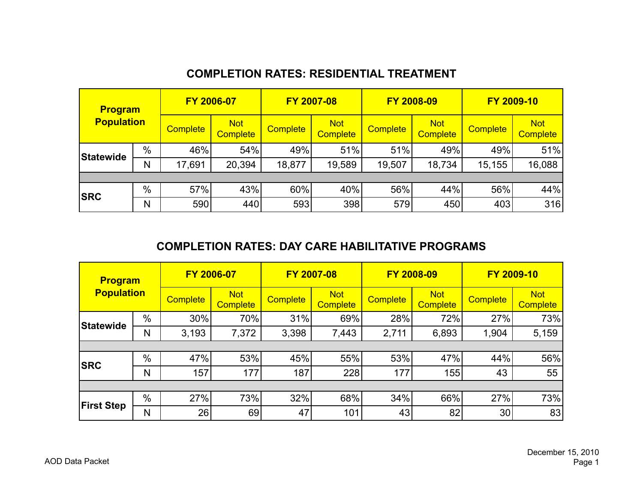# **COMPLETION RATES: RESIDENTIAL TREATMENT**

| <b>Program</b>    |      | FY 2006-07      |                               |                 | FY 2007-08                    |                 | FY 2008-09                    |                 | FY 2009-10                    |
|-------------------|------|-----------------|-------------------------------|-----------------|-------------------------------|-----------------|-------------------------------|-----------------|-------------------------------|
| <b>Population</b> |      | <b>Complete</b> | <b>Not</b><br><b>Complete</b> | <b>Complete</b> | <b>Not</b><br><b>Complete</b> | <b>Complete</b> | <b>Not</b><br><b>Complete</b> | <b>Complete</b> | <b>Not</b><br><b>Complete</b> |
| Statewide         | $\%$ | 46%             | 54%                           | 49%             | 51%                           | 51%             | 49%                           | 49%             | 51%                           |
|                   | N    | 17,691          | 20,394                        | 18,877          | 19,589                        | 19,507          | 18,734                        | 15,155          | 16,088                        |
|                   |      |                 |                               |                 |                               |                 |                               |                 |                               |
| <b>SRC</b>        | %    | 57%             | 43%                           | 60%             | 40%                           | 56%             | 44%                           | 56%             | 44%                           |
|                   | N    | 590             | 440                           | 593             | 398                           | 579             | 450                           | 403             | 316                           |

### **COMPLETION RATES: DAY CARE HABILITATIVE PROGRAMS**

| <b>Program</b>    |      | FY 2006-07      |                               |                 | FY 2007-08                    |                 | FY 2008-09                    | FY 2009-10      |                               |  |  |
|-------------------|------|-----------------|-------------------------------|-----------------|-------------------------------|-----------------|-------------------------------|-----------------|-------------------------------|--|--|
| <b>Population</b> |      | <b>Complete</b> | <b>Not</b><br><b>Complete</b> | <b>Complete</b> | <b>Not</b><br><b>Complete</b> | <b>Complete</b> | <b>Not</b><br><b>Complete</b> | <b>Complete</b> | <b>Not</b><br><b>Complete</b> |  |  |
| Statewide         | $\%$ | 30%             | 70%                           | 31%             | 69%                           | 28%             | 72%                           | 27%             | 73%                           |  |  |
|                   | N    | 3,193           | 7,372                         | 3,398           | 7,443                         | 2,711           | 6,893                         | 1,904           | 5,159                         |  |  |
|                   |      |                 |                               |                 |                               |                 |                               |                 |                               |  |  |
| <b>SRC</b>        | %    | 47%             | 53%                           | 45%             | 55%                           | 53%             | 47%                           | 44%             | 56%                           |  |  |
|                   | N    | 157             | 177                           | 187             | 228                           | 177             | 155                           | 43              | 55                            |  |  |
|                   |      |                 |                               |                 |                               |                 |                               |                 |                               |  |  |
| <b>First Step</b> | %    | 27%             | 73%                           | 32%             | 68%                           | 34%             | 66%                           | 27%             | 73%                           |  |  |
|                   | N    | 26              | 69                            | 47              | 101                           | 43              | 82                            | 30              | 83                            |  |  |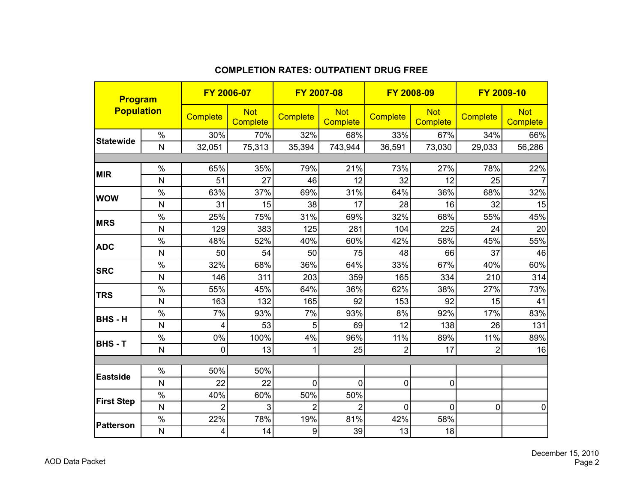| <b>Program</b>    |                |                 | FY 2006-07                    |                 | FY 2007-08                    | FY 2008-09      |                               |                 | FY 2009-10                    |
|-------------------|----------------|-----------------|-------------------------------|-----------------|-------------------------------|-----------------|-------------------------------|-----------------|-------------------------------|
| <b>Population</b> |                | <b>Complete</b> | <b>Not</b><br><b>Complete</b> | <b>Complete</b> | <b>Not</b><br><b>Complete</b> | <b>Complete</b> | <b>Not</b><br><b>Complete</b> | <b>Complete</b> | <b>Not</b><br><b>Complete</b> |
|                   | $\%$           | 30%             | 70%                           | 32%             | 68%                           | 33%             | 67%                           | 34%             | 66%                           |
| <b>Statewide</b>  | $\mathsf{N}$   | 32,051          | 75,313                        | 35,394          | 743,944                       | 36,591          | 73,030                        | 29,033          | 56,286                        |
|                   |                |                 |                               |                 |                               |                 |                               |                 |                               |
| <b>MIR</b>        | %              | 65%             | 35%                           | 79%             | 21%                           | 73%             | 27%                           | 78%             | 22%                           |
|                   | $\mathsf{N}$   | 51              | 27                            | 46              | 12                            | 32              | 12                            | 25              | $\overline{7}$                |
| <b>WOW</b>        | %              | 63%             | 37%                           | 69%             | 31%                           | 64%             | 36%                           | 68%             | 32%                           |
|                   | $\mathsf{N}$   | 31              | 15                            | 38              | 17                            | 28              | 16                            | 32              | 15                            |
| <b>MRS</b>        | %              | 25%             | 75%                           | 31%             | 69%                           | 32%             | 68%                           | 55%             | 45%                           |
|                   | $\mathsf{N}$   | 129             | 383                           | 125             | 281                           | 104             | 225                           | 24              | 20                            |
|                   | $\%$           | 48%             | 52%                           | 40%             | 60%                           | 42%             | 58%                           | 45%             | 55%                           |
| <b>ADC</b>        | $\mathsf{N}$   | 50              | 54                            | 50              | 75                            | 48              | 66                            | 37              | 46                            |
|                   | $\%$           | 32%             | 68%                           | 36%             | 64%                           | 33%             | 67%                           | 40%             | 60%                           |
| <b>SRC</b>        | N              | 146             | 311                           | 203             | 359                           | 165             | 334                           | 210             | 314                           |
|                   | $\%$           | 55%             | 45%                           | 64%             | 36%                           | 62%             | 38%                           | 27%             | 73%                           |
| <b>TRS</b>        | N              | 163             | 132                           | 165             | 92                            | 153             | 92                            | 15              | 41                            |
|                   | $\%$           | 7%              | 93%                           | 7%              | 93%                           | 8%              | 92%                           | 17%             | 83%                           |
| <b>BHS-H</b>      | N              | 4               | 53                            | 5               | 69                            | 12              | 138                           | 26              | 131                           |
|                   | $\%$           | 0%              | 100%                          | 4%              | 96%                           | 11%             | 89%                           | 11%             | 89%                           |
| <b>BHS-T</b>      | $\mathsf{N}$   | $\overline{0}$  | 13                            | 1               | 25                            | $\overline{2}$  | 17                            | $\overline{2}$  | 16                            |
|                   |                |                 |                               |                 |                               |                 |                               |                 |                               |
| <b>Eastside</b>   | %              | 50%             | 50%                           |                 |                               |                 |                               |                 |                               |
|                   | N              | 22              | 22                            | $\overline{0}$  | 0                             | $\mathbf 0$     | 0                             |                 |                               |
| <b>First Step</b> | $\%$           | 40%             | 60%                           | 50%             | 50%                           |                 |                               |                 |                               |
|                   | $\overline{N}$ | $\overline{2}$  | 3                             | $\overline{2}$  | $\overline{2}$                | $\mathbf 0$     | 0                             | 0               | $\mathbf 0$                   |
|                   | $\%$           | 22%             | 78%                           | 19%             | 81%                           | 42%             | 58%                           |                 |                               |
| Patterson         | $\mathsf{N}$   | 4               | 14                            | 9               | 39                            | 13              | 18                            |                 |                               |

#### **COMPLETION RATES: OUTPATIENT DRUG FREE**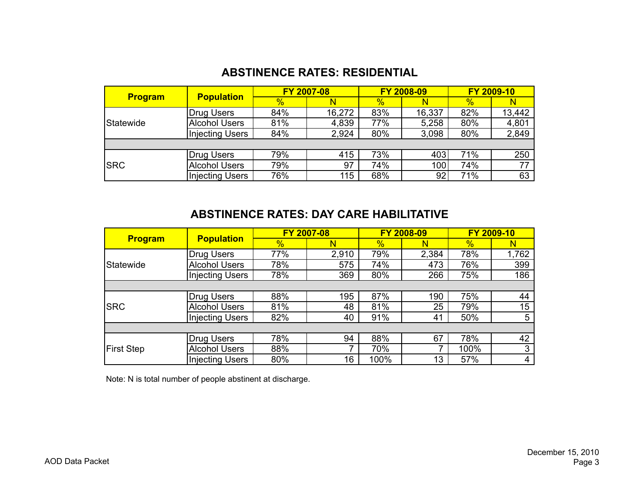## **ABSTINENCE RATES: RESIDENTIAL**

|                | <b>Population</b>      |               | FY 2007-08 |               | FY 2008-09 |               | FY 2009-10 |  |
|----------------|------------------------|---------------|------------|---------------|------------|---------------|------------|--|
| <b>Program</b> |                        | $\frac{1}{2}$ |            | $\frac{9}{6}$ |            | $\frac{1}{2}$ |            |  |
|                | Drug Users             | 84%           | 16,272     | 83%           | 16,337     | 82%           | 13,442     |  |
| Statewide      | <b>Alcohol Users</b>   | 81%           | 4,839      | 77%           | 5,258      | 80%           | 4,801      |  |
|                | Injecting Users        | 84%           | 2,924      | 80%           | 3,098      | 80%           | 2,849      |  |
|                |                        |               |            |               |            |               |            |  |
|                | Drug Users             | 79%           | 415        | 73%           | 403        | 71%           | 250        |  |
| <b>SRC</b>     | <b>Alcohol Users</b>   | 79%           | 97         | 74%           | 100        | 74%           | 77         |  |
|                | <b>Injecting Users</b> | 76%           | 115        | 68%           | 92         | 71%           | 63         |  |

## **ABSTINENCE RATES: DAY CARE HABILITATIVE**

|                   |                        | FY 2007-08    |       |               | FY 2008-09 | FY 2009-10    |       |  |
|-------------------|------------------------|---------------|-------|---------------|------------|---------------|-------|--|
| <b>Program</b>    | <b>Population</b>      | $\frac{1}{2}$ | N     | $\frac{1}{2}$ | N          | $\frac{1}{2}$ | N     |  |
|                   | Drug Users             | 77%           | 2,910 | 79%           | 2,384      | 78%           | 1,762 |  |
| Statewide         | <b>Alcohol Users</b>   | 78%           | 575   | 74%           | 473        | 76%           | 399   |  |
|                   | <b>Injecting Users</b> | 78%           | 369   | 80%           | 266        | 75%           | 186   |  |
|                   |                        |               |       |               |            |               |       |  |
|                   | Drug Users             | 88%           | 195   | 87%           | 190        | 75%           | 44    |  |
| <b>SRC</b>        | <b>Alcohol Users</b>   | 81%           | 48    | 81%           | 25         | 79%           | 15    |  |
|                   | <b>Injecting Users</b> | 82%           | 40    | 91%           | 41         | 50%           | 5     |  |
|                   |                        |               |       |               |            |               |       |  |
|                   | Drug Users             | 78%           | 94    | 88%           | 67         | 78%           | 42    |  |
| <b>First Step</b> | <b>Alcohol Users</b>   | 88%           |       | 70%           | 7          | 100%          | 3     |  |
|                   | <b>Injecting Users</b> | 80%           | 16    | 100%          | 13         | 57%           | 4     |  |

Note: N is total number of people abstinent at discharge.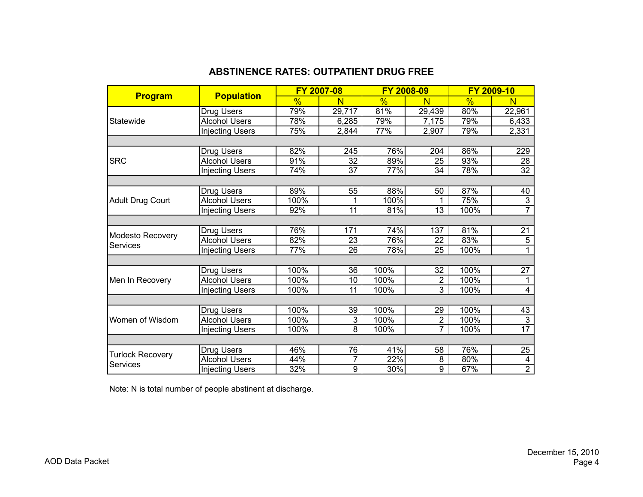### **ABSTINENCE RATES: OUTPATIENT DRUG FREE**

|                                     |                        |      | FY 2007-08      |        | FY 2008-09      |      | FY 2009-10      |
|-------------------------------------|------------------------|------|-----------------|--------|-----------------|------|-----------------|
| <b>Program</b>                      | <b>Population</b>      | %    | N               | %      | N               | %    | N               |
|                                     | Drug Users             | 79%  | 29,717          | 81%    | 29,439          | 80%  | 22,961          |
| Statewide                           | <b>Alcohol Users</b>   | 78%  | 6,285           | 79%    | 7,175           | 79%  | 6,433           |
|                                     | <b>Injecting Users</b> | 75%  | 2,844           | 77%    | 2,907           | 79%  | 2,331           |
|                                     |                        |      |                 |        |                 |      |                 |
|                                     | Drug Users             | 82%  | 245             | 76%    | 204             | 86%  | 229             |
| <b>SRC</b>                          | <b>Alcohol Users</b>   | 91%  | 32              | 89%    | 25              | 93%  | 28              |
|                                     | <b>Injecting Users</b> | 74%  | $\overline{37}$ | $77\%$ | 34              | 78%  | $\overline{32}$ |
|                                     |                        |      |                 |        |                 |      |                 |
|                                     | Drug Users             | 89%  | 55              | 88%    | 50              | 87%  | 40              |
| <b>Adult Drug Court</b>             | <b>Alcohol Users</b>   | 100% |                 | 100%   |                 | 75%  | $\overline{3}$  |
|                                     | <b>Injecting Users</b> | 92%  | $\overline{11}$ | 81%    | $\overline{13}$ | 100% | $\overline{7}$  |
|                                     |                        |      |                 |        |                 |      |                 |
| Modesto Recovery                    | Drug Users             | 76%  | 171             | 74%    | 137             | 81%  | 21              |
| <b>Services</b>                     | <b>Alcohol Users</b>   | 82%  | 23              | 76%    | 22              | 83%  | $\overline{5}$  |
|                                     | <b>Injecting Users</b> | 77%  | 26              | 78%    | 25              | 100% |                 |
|                                     |                        |      |                 |        |                 |      |                 |
|                                     | Drug Users             | 100% | 36              | 100%   | 32              | 100% | 27              |
| Men In Recovery                     | <b>Alcohol Users</b>   | 100% | 10              | 100%   | $\overline{2}$  | 100% | 1               |
|                                     | <b>Injecting Users</b> | 100% | 11              | 100%   | 3               | 100% | 4               |
|                                     |                        |      |                 |        |                 |      |                 |
|                                     | Drug Users             | 100% | 39              | 100%   | 29              | 100% | 43              |
| Women of Wisdom                     | <b>Alcohol Users</b>   | 100% | $\overline{3}$  | 100%   | $\overline{2}$  | 100% | $\overline{3}$  |
|                                     | <b>Injecting Users</b> | 100% | $\overline{8}$  | 100%   | $\overline{7}$  | 100% | $\overline{17}$ |
|                                     |                        |      |                 |        |                 |      |                 |
|                                     | Drug Users             | 46%  | 76              | 41%    | 58              | 76%  | 25              |
| Turlock Recovery<br><b>Services</b> | <b>Alcohol Users</b>   | 44%  | 7               | 22%    | 8               | 80%  | 4               |
|                                     | <b>Injecting Users</b> | 32%  | $\overline{9}$  | 30%    | 9               | 67%  | $\overline{2}$  |

Note: N is total number of people abstinent at discharge.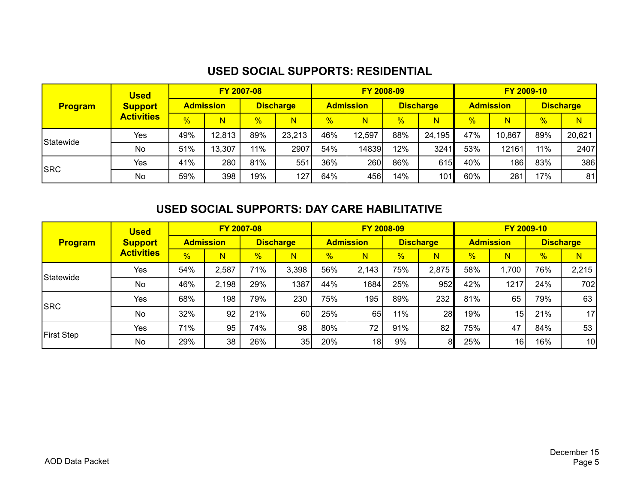# **USED SOCIAL SUPPORTS: RESIDENTIAL**

|                | <b>Used</b>       |               | FY 2007-08       |               |                  |                  |        | FY 2008-09       |        | FY 2009-10       |        |                  |        |  |
|----------------|-------------------|---------------|------------------|---------------|------------------|------------------|--------|------------------|--------|------------------|--------|------------------|--------|--|
| <b>Program</b> | <b>Support</b>    |               | <b>Admission</b> |               | <b>Discharge</b> | <b>Admission</b> |        | <b>Discharge</b> |        | <b>Admission</b> |        | <b>Discharge</b> |        |  |
|                | <b>Activities</b> | $\frac{9}{6}$ | N                | $\frac{0}{0}$ | N                | $\%$             | N      | %                | N.     | $\frac{0}{6}$    | N      | $\frac{9}{6}$    | N      |  |
| Statewide      | Yes               | 49%           | 12,813           | 89%           | 23,213           | 46%              | 12,597 | 88%              | 24,195 | 47%              | 10,867 | 89%              | 20,621 |  |
|                | No                | 51%           | 13,307           | 11%           | 2907             | 54%              | 14839  | 12%              | 3241   | 53%              | 12161  | 11%              | 2407   |  |
| <b>SRC</b>     | Yes               | 41%           | 280              | 81%           | 551              | 36%              | 260    | 86%              | 615    | 40%              | 186    | 83%              | 386    |  |
|                | <b>No</b>         | 59%           | 398              | 19%           | 127              | 64%              | 456    | 14%              | 101    | 60%              | 281    | 17%              | 81     |  |

## **USED SOCIAL SUPPORTS: DAY CARE HABILITATIVE**

|                   | <b>Used</b>       | FY 2007-08    |                  |               |                         |                  |                         | FY 2008-09       |       |                  | FY 2009-10      |                  |       |  |
|-------------------|-------------------|---------------|------------------|---------------|-------------------------|------------------|-------------------------|------------------|-------|------------------|-----------------|------------------|-------|--|
| <b>Program</b>    | <b>Support</b>    |               | <b>Admission</b> |               | <b>Discharge</b>        | <b>Admission</b> |                         | <b>Discharge</b> |       | <b>Admission</b> |                 | <b>Discharge</b> |       |  |
|                   | <b>Activities</b> | $\frac{9}{6}$ | N                | $\frac{9}{6}$ | $\overline{\mathsf{N}}$ | $\frac{1}{2}$    | $\overline{\mathsf{N}}$ | %                | Ñ     | $\frac{9}{6}$    | N               | %                | N     |  |
| Statewide         | Yes               | 54%           | 2,587            | 71%           | 3,398                   | 56%              | 2,143                   | 75%              | 2,875 | 58%              | 1,700           | 76%              | 2,215 |  |
|                   | No                | 46%           | 2,198            | 29%           | 1387                    | 44%              | 1684                    | 25%              | 952   | 42%              | 1217            | 24%              | 702   |  |
| <b>SRC</b>        | Yes               | 68%           | 198              | 79%           | 230                     | 75%              | 195                     | 89%              | 232   | 81%              | 65              | 79%              | 63    |  |
|                   | <b>No</b>         | 32%           | 92               | 21%           | 60                      | 25%              | 65                      | 11%              | 28    | 19%              | 15 <sub>l</sub> | 21%              | 17    |  |
|                   | Yes               | 71%           | 95               | 74%           | 98                      | 80%              | 72                      | 91%              | 82    | 75%              | 47              | 84%              | 53    |  |
| <b>First Step</b> | No                | 29%           | 38               | 26%           | 35                      | 20%              | 18                      | $9\%$            | 81    | 25%              | 16              | 16%              | 10    |  |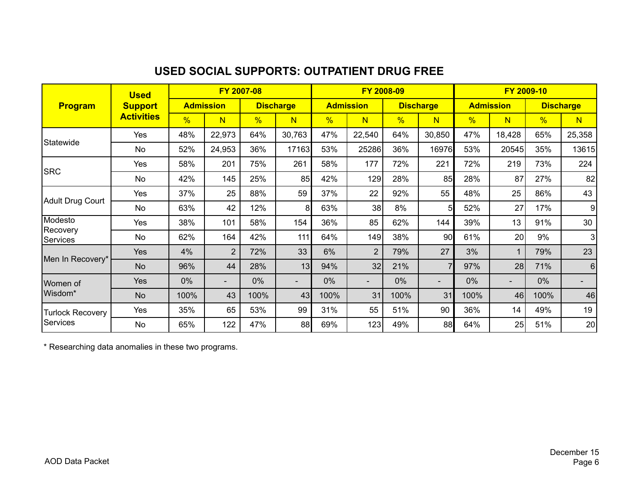## **USED SOCIAL SUPPORTS: OUTPATIENT DRUG FREE**

|                         | <b>Used</b>       |               |                  | FY 2007-08 |                          |               |                          | FY 2008-09 |                          |      | FY 2009-10       |               |                          |
|-------------------------|-------------------|---------------|------------------|------------|--------------------------|---------------|--------------------------|------------|--------------------------|------|------------------|---------------|--------------------------|
| <b>Program</b>          | <b>Support</b>    |               | <b>Admission</b> |            | <b>Discharge</b>         |               | <b>Admission</b>         |            | <b>Discharge</b>         |      | <b>Admission</b> |               | <b>Discharge</b>         |
|                         | <b>Activities</b> | $\frac{9}{6}$ | N                | %          | $\overline{\mathsf{N}}$  | $\frac{9}{6}$ | N                        | %          | N                        | %    | N                | $\frac{0}{6}$ | $\overline{\mathsf{N}}$  |
|                         | Yes               | 48%           | 22,973           | 64%        | 30,763                   | 47%           | 22,540                   | 64%        | 30,850                   | 47%  | 18,428           | 65%           | 25,358                   |
| Statewide               | <b>No</b>         | 52%           | 24,953           | 36%        | 17163                    | 53%           | 25286                    | 36%        | 16976                    | 53%  | 20545            | 35%           | 13615                    |
| <b>SRC</b>              | Yes               | 58%           | 201              | 75%        | 261                      | 58%           | 177                      | 72%        | 221                      | 72%  | 219              | 73%           | 224                      |
|                         | No                | 42%           | 145              | 25%        | 85                       | 42%           | 129                      | 28%        | 85                       | 28%  | 87               | 27%           | 82                       |
|                         | Yes               | 37%           | 25               | 88%        | 59                       | 37%           | 22                       | 92%        | 55                       | 48%  | 25               | 86%           | 43                       |
| <b>Adult Drug Court</b> | No                | 63%           | 42               | 12%        | 8                        | 63%           | 38                       | 8%         | 51                       | 52%  | 27               | 17%           | 9                        |
| Modesto                 | Yes               | 38%           | 101              | 58%        | 154                      | 36%           | 85                       | 62%        | 144                      | 39%  | 13               | 91%           | 30                       |
| Recovery<br>Services    | No                | 62%           | 164              | 42%        | 111                      | 64%           | 149                      | 38%        | 90                       | 61%  | 20 <sup>1</sup>  | 9%            | 3                        |
|                         | Yes               | 4%            | $\overline{2}$   | 72%        | 33                       | 6%            | 2                        | 79%        | 27                       | 3%   | $\mathbf{1}$     | 79%           | 23                       |
| Men In Recovery*        | <b>No</b>         | 96%           | 44               | 28%        | 13                       | 94%           | 32                       | 21%        | 7                        | 97%  | 28               | 71%           | $6\phantom{1}6$          |
| Women of                | Yes               | $0\%$         | $\sim$           | $0\%$      | $\overline{\phantom{a}}$ | 0%            | $\overline{\phantom{a}}$ | 0%         | $\overline{\phantom{0}}$ | 0%   | Ξ.               | 0%            | $\overline{\phantom{a}}$ |
| Wisdom*                 | <b>No</b>         | 100%          | 43               | 100%       | 43                       | 100%          | 31                       | 100%       | 31                       | 100% | 46               | 100%          | 46                       |
| <b>Turlock Recovery</b> | Yes               | 35%           | 65               | 53%        | 99                       | 31%           | 55                       | 51%        | 90                       | 36%  | 14               | 49%           | 19                       |
| Services                | No                | 65%           | 122              | 47%        | 88                       | 69%           | 123                      | 49%        | 88                       | 64%  | 25               | 51%           | 20                       |

\* Researching data anomalies in these two programs.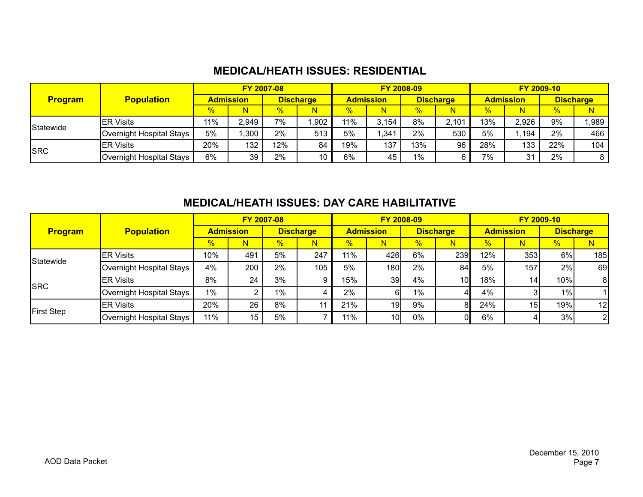### **MEDICAL/HEATH ISSUES: RESIDENTIAL**

|                |                          |      |                  | FY 2007-08       |                 |                  |       | FY 2008-09       |       | FY 2009-10       |       |                  |       |
|----------------|--------------------------|------|------------------|------------------|-----------------|------------------|-------|------------------|-------|------------------|-------|------------------|-------|
| <b>Program</b> | <b>Population</b>        |      | <b>Admission</b> | <b>Discharge</b> |                 | <b>Admission</b> |       | <b>Discharge</b> |       | <b>Admission</b> |       | <b>Discharge</b> |       |
|                |                          | $\%$ | N                | %                | N               | %                | N     | $\frac{9}{6}$    |       | %                | N     | $\frac{1}{2}$    | N     |
| Statewide      | <b>IER Visits</b>        | 11%  | 2,949            | 7%               | .902            | 11%              | 3,154 | 8%               | 2,101 | 13%              | 2,926 | 9%               | 1,989 |
|                | Overnight Hospital Stays | 5%   | .300             | 2%               | 513             | 5%               | .341  | 2%               | 530   | 5%               | .194  | 2%               | 466   |
| <b>ISRC</b>    | <b>IER Visits</b>        | 20%  | 132              | 12%              | 84              | 19%              | 137   | 13%              | 96    | 28%              | 133   | 22%              | 104   |
|                | Overnight Hospital Stays | 6%   | 39               | 2%               | 10 <sub>1</sub> | 6%               | 45    | 1%               |       | 7%               | 31    | 2%               |       |

### **MEDICAL/HEATH ISSUES: DAY CARE HABILITATIVE**

|                   |                          |               |                  | FY 2007-08    |                  |               |                  | FY 2008-09       |     |                  |     | FY 2009-10       |                 |
|-------------------|--------------------------|---------------|------------------|---------------|------------------|---------------|------------------|------------------|-----|------------------|-----|------------------|-----------------|
| <b>Program</b>    | <b>Population</b>        |               | <b>Admission</b> |               | <b>Discharge</b> |               | <b>Admission</b> | <b>Discharge</b> |     | <b>Admission</b> |     | <b>Discharge</b> |                 |
|                   |                          | $\frac{1}{2}$ | N                | $\frac{9}{6}$ | N                | $\frac{9}{6}$ | N                | $\frac{1}{2}$    |     | $\frac{1}{2}$    | N   | $\frac{1}{2}$    | N               |
|                   | <b>IER Visits</b>        | 10%           | 491              | 5%            | 247              | 11%           | 426              | 6%               | 239 | 12%              | 353 | 6%               | 185             |
| Statewide         | Overnight Hospital Stays | 4%            | 200              | 2%            | 105              | 5%            | 180              | 2%               | 84  | 5%               | 157 | 2%               | 69              |
| <b>ISRC</b>       | <b>ER Visits</b>         | 8%            | 24               | 3%            |                  | 15%           | 39 <sub>l</sub>  | 4%               | 10  | 18%              |     | 10%              | -81             |
|                   | Overnight Hospital Stays | $1\%$         |                  | $1\%$         |                  | 2%            |                  | $1\%$            |     | 4%               |     | 1%               |                 |
| <b>First Step</b> | <b>ER Visits</b>         | 20%           | 26               | 8%            |                  | 21%           | 19 <sub>l</sub>  | 9%               |     | 24%              |     | 19%              | 12 <sup>1</sup> |
|                   | Overnight Hospital Stays | 11%           | 15               | 5%            |                  | 11%           | 10               | 0%               |     | 6%               |     | 3%               | $\overline{2}$  |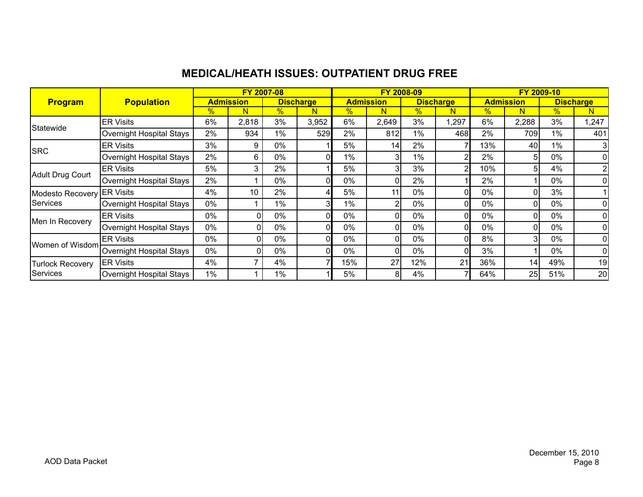## **MEDICAL/HEATH ISSUES: OUTPATIENT DRUG FREE**

|                         |                          |       |                  | FY 2007-08 |                  |       | FY 2008-09       |               |                  |               | FY 2009-10       |       |                  |
|-------------------------|--------------------------|-------|------------------|------------|------------------|-------|------------------|---------------|------------------|---------------|------------------|-------|------------------|
| <b>Program</b>          | <b>Population</b>        |       | <b>Admission</b> |            | <b>Discharge</b> |       | <b>Admission</b> |               | <b>Discharge</b> |               | <b>Admission</b> |       | <b>Discharge</b> |
|                         |                          | %     | N                | %          | N                | $\%$  | N                | $\frac{9}{6}$ | N                | $\frac{1}{2}$ | N                | %     | N                |
| Statewide               | <b>ER Visits</b>         | 6%    | 2,818            | 3%         | 3,952            | 6%    | 2,649            | 3%            | 1,297            | 6%            | 2,288            | 3%    | 1,247            |
|                         | Overnight Hospital Stays | 2%    | 934              | 1%         | 529              | 2%    | 812              | $1\%$         | 468              | 2%            | 709              | 1%    | 401              |
| <b>SRC</b>              | <b>ER Visits</b>         | 3%    | 9                | 0%         |                  | 5%    | 14               | 2%            |                  | 13%           | 40               | 1%    | 3                |
|                         | Overnight Hospital Stays | 2%    | 6.               | 0%         |                  | 1%    | 31               | $1\%$         |                  | 2%            |                  | 0%    | 01               |
|                         | <b>ER Visits</b>         | 5%    | 3                | 2%         |                  | 5%    | 31               | 3%            | 2                | 10%           |                  | 4%    | $\overline{2}$   |
| Adult Drug Court        | Overnight Hospital Stays | 2%    |                  | 0%         | ΩI               | 0%    | ΩI               | 2%            |                  | 2%            |                  | 0%    | Οl               |
| Modesto Recovery        | <b>ER Visits</b>         | 4%    | 10               | 2%         | 4                | 5%    | 11 <sub>1</sub>  | 0%            | ΩI               | 0%            |                  | 3%    |                  |
| <b>Services</b>         | Overnight Hospital Stays | 0%    |                  | 1%         | 3 <sub>l</sub>   | 1%    | 2                | 0%            |                  | 0%            |                  | $0\%$ | Οl               |
|                         | <b>ER Visits</b>         | 0%    | 0                | 0%         | ΩI               | $0\%$ | 01               | 0%            | ΩI               | 0%            |                  | 0%    | 01               |
| Men In Recovery         | Overnight Hospital Stays | 0%    | 0                | 0%         | ΩI               | 0%    | ΩI               | 0%            | ΩI               | 0%            |                  | $0\%$ | Οl               |
| Women of Wisdom         | <b>ER Visits</b>         | 0%    | O.               | 0%         | ΩI               | $0\%$ | 0 <sub>1</sub>   | 0%            | n١               | 8%            | З                | 0%    | 01               |
|                         | Overnight Hospital Stays | 0%    | 0                | 0%         |                  | 0%    | ΩI               | $0\%$         |                  | 3%            |                  | $0\%$ | 01               |
| <b>Turlock Recovery</b> | <b>ER Visits</b>         | 4%    |                  | 4%         |                  | 15%   | 27               | 12%           | 21               | 36%           | 14               | 49%   | 19               |
| <b>Services</b>         | Overnight Hospital Stays | $1\%$ |                  | 1%         |                  | 5%    | 8 <sup>1</sup>   | 4%            |                  | 64%           | 25               | 51%   | 20               |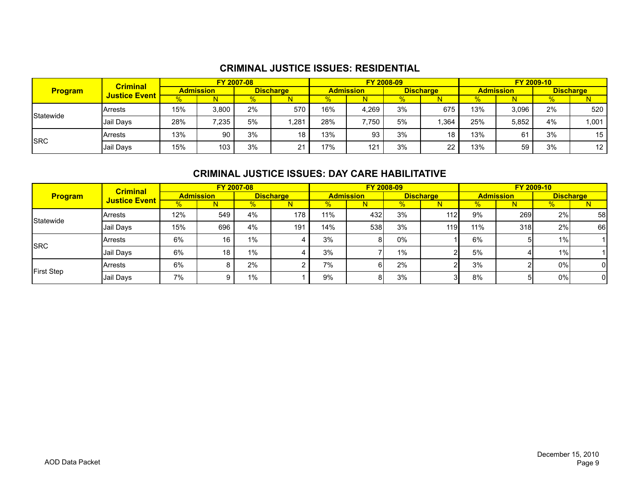#### **CRIMINAL JUSTICE ISSUES: RESIDENTIAL**

| <b>Program</b>   | <b>Criminal</b><br><b>Justice Event</b> | FY 2007-08       |       |                  |      | <b>FY 2008-09</b> |       |                  |      | FY 2009-10       |       |                  |      |
|------------------|-----------------------------------------|------------------|-------|------------------|------|-------------------|-------|------------------|------|------------------|-------|------------------|------|
|                  |                                         | <b>Admission</b> |       | <b>Discharge</b> |      | <b>Admission</b>  |       | <b>Discharge</b> |      | <b>Admission</b> |       | <b>Discharge</b> |      |
|                  |                                         |                  | N     |                  |      | ℅                 |       | %                |      | $\%$             |       | %                |      |
| <b>Statewide</b> | <b>IArrests</b>                         | 15%              | 3,800 | 2%               | 570  | 16%               | 4.269 | 3%               | 675  | 13%              | 3.096 | 2%               | 520  |
|                  | Jail Days                               | 28%              | 7,235 | 5%               | .281 | 28%               | 7,750 | 5%               | .364 | 25%              | 5.852 | 4%               | ,001 |
| <b>SRC</b>       | IArrests                                | 13%              | 90    | 3%               | 18   | 13%               | 93    | 3%               | 18   | 13%              | 61    | 3%               | 15   |
|                  | Jail Days                               | 15%              | 103   | 3%               | ິ    | 17%               | 121   | 3%               | 22   | 13%              | 59    | 3%               | 12   |

#### **CRIMINAL JUSTICE ISSUES: DAY CARE HABILITATIVE**

| <b>Program</b> | <b>Criminal</b>      | FY 2007-08       |     |                  |     | FY 2008-09       |     |                  |     | <b>FY 2009-10</b> |            |                  |    |
|----------------|----------------------|------------------|-----|------------------|-----|------------------|-----|------------------|-----|-------------------|------------|------------------|----|
|                | <b>Justice Event</b> | <b>Admission</b> |     | <b>Discharge</b> |     | <b>Admission</b> |     | <b>Discharge</b> |     | <b>Admission</b>  |            | <b>Discharge</b> |    |
|                |                      |                  |     |                  |     | $\%$             | N   | $\%$             | 'N. | $\frac{1}{2}$     |            | ℅                |    |
| Statewide      | IArrests             | 12%              | 549 | 4%               | 178 | 11%              | 432 | 3%               | 112 | 9%                | <b>269</b> | 2%               | 58 |
|                | Jail Days            | 15%              | 696 | 4%               | 191 | 14%              | 538 | 3%               | 119 | 11%               | 318        | 2%               | 66 |
| SRC            | <b>IArrests</b>      | 6%               | 16  | 1%               |     | 3%               | 8   | $0\%$            |     | 6%                | 51         | 1%1              |    |
|                | Jail Days            | 6%               | 18  | 1%               |     | 3%               |     | 1%               |     | 5%                |            | 1%1              |    |
| First Step     | Arrests              | 6%               |     | 2%               |     | 7%               | 6   | 2%               |     | 3%                |            | 0%               | 0l |
|                | Jail Days            | 7%               |     | 1%               |     | 9%               | 8   | 3%               |     | 8%                | 51         | 0%               | 01 |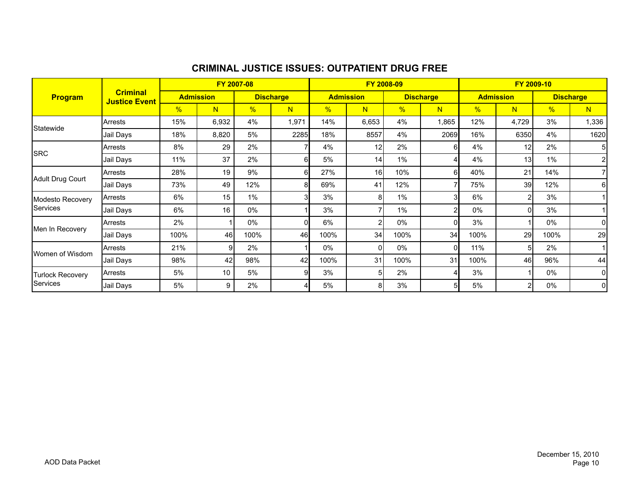| <b>Program</b>               |                                         | FY 2007-08       |       |                  |       | FY 2008-09       |                 |                  |                | FY 2009-10       |                 |                  |                |
|------------------------------|-----------------------------------------|------------------|-------|------------------|-------|------------------|-----------------|------------------|----------------|------------------|-----------------|------------------|----------------|
|                              | <b>Criminal</b><br><b>Justice Event</b> | <b>Admission</b> |       | <b>Discharge</b> |       | <b>Admission</b> |                 | <b>Discharge</b> |                | <b>Admission</b> |                 | <b>Discharge</b> |                |
|                              |                                         | %                | N     | $\frac{9}{6}$    | N     | $\frac{9}{6}$    | N               | $\frac{9}{6}$    | N.             | $\frac{9}{6}$    | N               | %                | N              |
| Statewide                    | Arrests                                 | 15%              | 6,932 | 4%               | 1,971 | 14%              | 6,653           | 4%               | 1,865          | 12%              | 4,729           | 3%               | 1,336          |
|                              | Jail Days                               | 18%              | 8,820 | 5%               | 2285  | 18%              | 8557            | 4%               | 2069           | 16%              | 6350            | 4%               | 1620           |
|                              | <b>Arrests</b>                          | 8%               | 29    | 2%               |       | 4%               | 12              | 2%               | 61             | 4%               | 12 <sup>1</sup> | 2%               | 5              |
| <b>SRC</b>                   | Jail Days                               | 11%              | 37    | 2%               | 6     | 5%               | 14              | 1%               | Δ              | 4%               | 13 <sup>l</sup> | $1\%$            | $\overline{2}$ |
|                              | Arrests                                 | 28%              | 19    | 9%               | 6     | 27%              | 16 <sup>1</sup> | 10%              | 61             | 40%              | 21              | 14%              | 7              |
| Adult Drug Court             | Jail Days                               | 73%              | 49    | 12%              | 8     | 69%              | 41              | 12%              | $\overline{7}$ | 75%              | 39              | 12%              | $6 \mid$       |
| Modesto Recovery             | Arrests                                 | 6%               | 15    | 1%               |       | 3%               | 81              | $1\%$            | 3              | 6%               | $\overline{2}$  | 3%               |                |
| Services                     | Jail Days                               | 6%               | 16    | $0\%$            |       | 3%               |                 | $1\%$            | $\overline{2}$ | $0\%$            | Οl              | 3%               |                |
|                              | Arrests                                 | 2%               |       | 0%               | ΩI    | 6%               | 2               | $0\%$            | 0              | 3%               |                 | 0%               | $\overline{0}$ |
| Men In Recovery              | Jail Days                               | 100%             | 46    | 100%             | 46    | 100%             | 34              | 100%             | 34             | 100%             | 29              | 100%             | 29             |
| Women of Wisdom              | <b>Arrests</b>                          | 21%              | 9     | 2%               |       | 0%               | ΩI              | $0\%$            | 0l             | 11%              | 5 <sup>1</sup>  | 2%               |                |
|                              | Jail Days                               | 98%              | 42    | 98%              | 42    | 100%             | 31              | 100%             | 31             | 100%             | 46              | 96%              | 44             |
| Turlock Recovery<br>Services | Arrests                                 | 5%               | 10    | 5%               | Й     | 3%               | 51              | 2%               |                | 3%               |                 | 0%               | $\overline{0}$ |
|                              | Jail Days                               | 5%               | 9     | 2%               |       | 5%               | 81              | 3%               | 51             | 5%               | 2 <sup>1</sup>  | 0%               | $\overline{0}$ |

#### **CRIMINAL JUSTICE ISSUES: OUTPATIENT DRUG FREE**